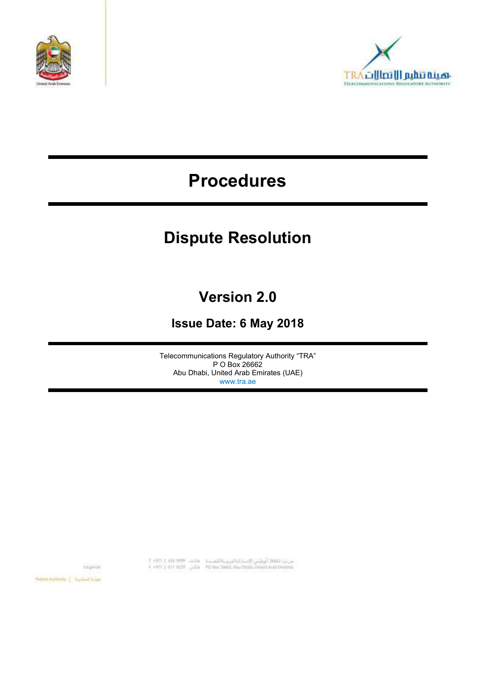



# **Procedures**

# **Dispute Resolution**

## **Version 2.0**

## **Issue Date: 6 May 2018**

Telecommunications Regulatory Authority "TRA" P O Box 26662 Abu Dhabi, United Arab Emirates (UAE) www.tra.ae

tragonie:

س ب: 2660. أبوشي الإسارات البريت الله . 12 . 1404-1409 1404-1408 1404 1404<br>F +971 2 611 8229 . 201 800 800 8002 Abu Olubu United Arab Emirain

 $\label{eq:1} \text{Rggrad with} \text{argmin} \left( \begin{array}{c} \text{argmin} \left( \frac{1}{2} \right) \\ \text{argmin} \left( \frac{1}{2} \right) \end{array} \right)$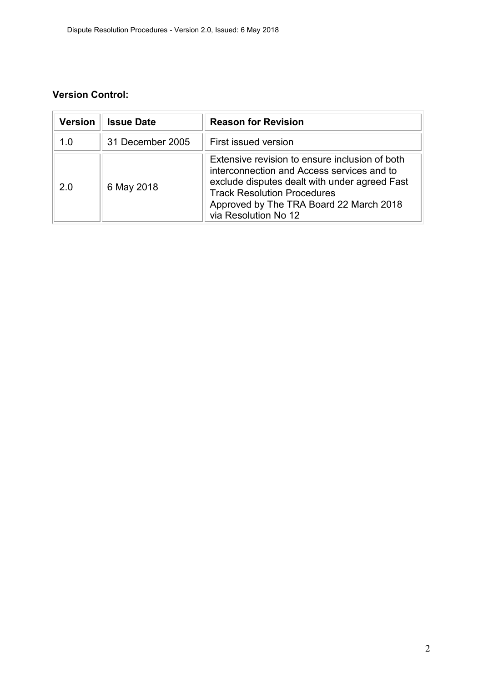## **Version Control:**

| <b>Version</b> | <b>Issue Date</b> | <b>Reason for Revision</b>                                                                                                                                                                                                                             |
|----------------|-------------------|--------------------------------------------------------------------------------------------------------------------------------------------------------------------------------------------------------------------------------------------------------|
| 1 በ            | 31 December 2005  | First issued version                                                                                                                                                                                                                                   |
| 20             | 6 May 2018        | Extensive revision to ensure inclusion of both<br>interconnection and Access services and to<br>exclude disputes dealt with under agreed Fast<br><b>Track Resolution Procedures</b><br>Approved by The TRA Board 22 March 2018<br>via Resolution No 12 |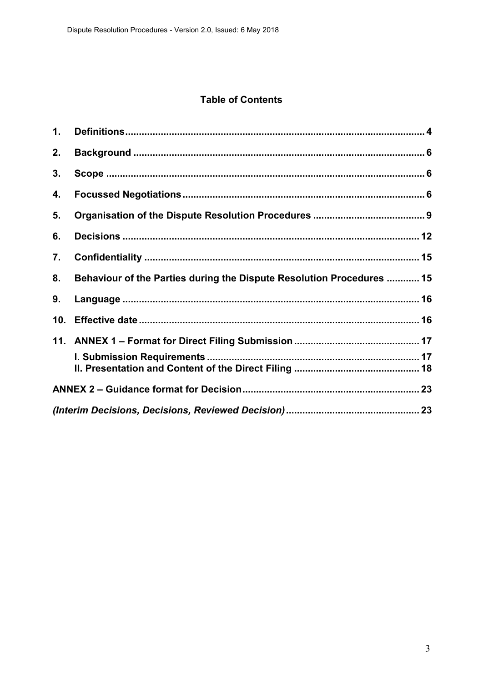## **Table of Contents**

| $\mathbf 1$ . |                                                                       |  |
|---------------|-----------------------------------------------------------------------|--|
| 2.            |                                                                       |  |
| 3.            |                                                                       |  |
| 4.            |                                                                       |  |
| 5.            |                                                                       |  |
| 6.            |                                                                       |  |
| 7.            |                                                                       |  |
| 8.            | Behaviour of the Parties during the Dispute Resolution Procedures  15 |  |
| 9.            |                                                                       |  |
| 10.           |                                                                       |  |
|               |                                                                       |  |
|               |                                                                       |  |
|               |                                                                       |  |
|               |                                                                       |  |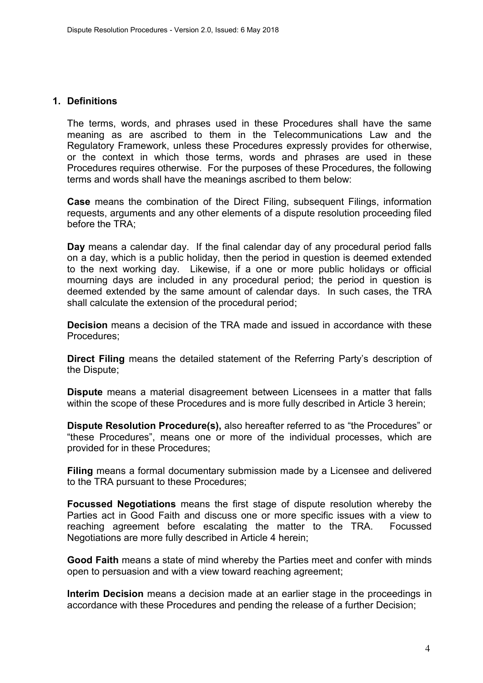#### <span id="page-3-0"></span>**1. Definitions**

The terms, words, and phrases used in these Procedures shall have the same meaning as are ascribed to them in the Telecommunications Law and the Regulatory Framework, unless these Procedures expressly provides for otherwise, or the context in which those terms, words and phrases are used in these Procedures requires otherwise. For the purposes of these Procedures, the following terms and words shall have the meanings ascribed to them below:

**Case** means the combination of the Direct Filing, subsequent Filings, information requests, arguments and any other elements of a dispute resolution proceeding filed before the TRA;

**Day** means a calendar day. If the final calendar day of any procedural period falls on a day, which is a public holiday, then the period in question is deemed extended to the next working day. Likewise, if a one or more public holidays or official mourning days are included in any procedural period; the period in question is deemed extended by the same amount of calendar days. In such cases, the TRA shall calculate the extension of the procedural period;

**Decision** means a decision of the TRA made and issued in accordance with these Procedures;

**Direct Filing** means the detailed statement of the Referring Party's description of the Dispute;

**Dispute** means a material disagreement between Licensees in a matter that falls within the scope of these Procedures and is more fully described in Article [3](#page-5-1) herein;

**Dispute Resolution Procedure(s),** also hereafter referred to as "the Procedures" or "these Procedures", means one or more of the individual processes, which are provided for in these Procedures;

**Filing** means a formal documentary submission made by a Licensee and delivered to the TRA pursuant to these Procedures;

**Focussed Negotiations** means the first stage of dispute resolution whereby the Parties act in Good Faith and discuss one or more specific issues with a view to reaching agreement before escalating the matter to the TRA. Focussed Negotiations are more fully described in Article [4](#page-5-2) herein;

**Good Faith** means a state of mind whereby the Parties meet and confer with minds open to persuasion and with a view toward reaching agreement;

**Interim Decision** means a decision made at an earlier stage in the proceedings in accordance with these Procedures and pending the release of a further Decision;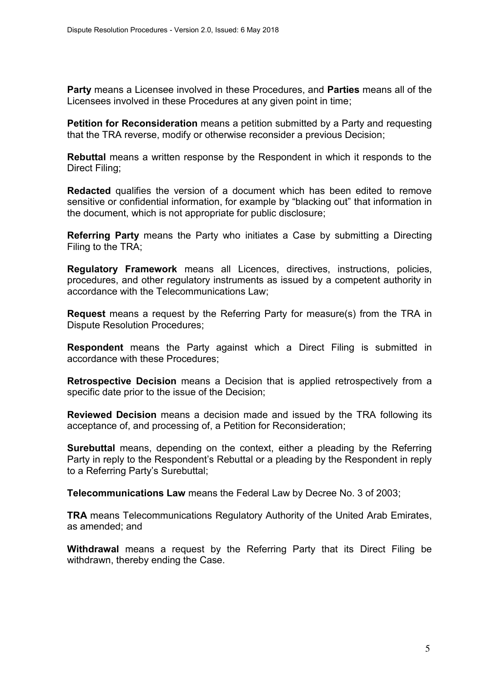**Party** means a Licensee involved in these Procedures, and **Parties** means all of the Licensees involved in these Procedures at any given point in time;

**Petition for Reconsideration** means a petition submitted by a Party and requesting that the TRA reverse, modify or otherwise reconsider a previous Decision;

**Rebuttal** means a written response by the Respondent in which it responds to the Direct Filing;

**Redacted** qualifies the version of a document which has been edited to remove sensitive or confidential information, for example by "blacking out" that information in the document, which is not appropriate for public disclosure;

**Referring Party** means the Party who initiates a Case by submitting a Directing Filing to the TRA;

**Regulatory Framework** means all Licences, directives, instructions, policies, procedures, and other regulatory instruments as issued by a competent authority in accordance with the Telecommunications Law;

**Request** means a request by the Referring Party for measure(s) from the TRA in Dispute Resolution Procedures;

**Respondent** means the Party against which a Direct Filing is submitted in accordance with these Procedures;

**Retrospective Decision** means a Decision that is applied retrospectively from a specific date prior to the issue of the Decision;

**Reviewed Decision** means a decision made and issued by the TRA following its acceptance of, and processing of, a Petition for Reconsideration;

**Surebuttal** means, depending on the context, either a pleading by the Referring Party in reply to the Respondent's Rebuttal or a pleading by the Respondent in reply to a Referring Party's Surebuttal;

**Telecommunications Law** means the Federal Law by Decree No. 3 of 2003;

**TRA** means Telecommunications Regulatory Authority of the United Arab Emirates, as amended; and

**Withdrawal** means a request by the Referring Party that its Direct Filing be withdrawn, thereby ending the Case.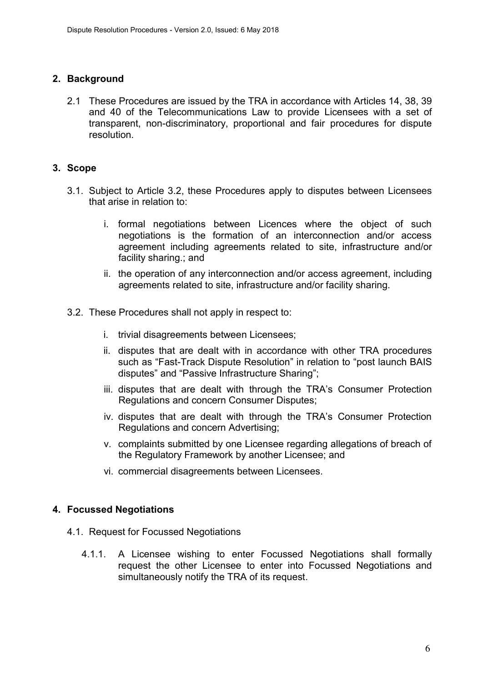## <span id="page-5-0"></span>**2. Background**

2.1 These Procedures are issued by the TRA in accordance with Articles 14, 38, 39 and 40 of the Telecommunications Law to provide Licensees with a set of transparent, non-discriminatory, proportional and fair procedures for dispute resolution.

#### <span id="page-5-1"></span>**3. Scope**

- 3.1. Subject to Article [3.2,](#page-5-3) these Procedures apply to disputes between Licensees that arise in relation to:
	- i. formal negotiations between Licences where the object of such negotiations is the formation of an interconnection and/or access agreement including agreements related to site, infrastructure and/or facility sharing.; and
	- ii. the operation of any interconnection and/or access agreement, including agreements related to site, infrastructure and/or facility sharing.
- <span id="page-5-3"></span>3.2. These Procedures shall not apply in respect to:
	- i. trivial disagreements between Licensees;
	- ii. disputes that are dealt with in accordance with other TRA procedures such as "Fast-Track Dispute Resolution" in relation to "post launch BAIS disputes" and "Passive Infrastructure Sharing";
	- iii. disputes that are dealt with through the TRA's Consumer Protection Regulations and concern Consumer Disputes;
	- iv. disputes that are dealt with through the TRA's Consumer Protection Regulations and concern Advertising;
	- v. complaints submitted by one Licensee regarding allegations of breach of the Regulatory Framework by another Licensee; and
	- vi. commercial disagreements between Licensees.

#### <span id="page-5-2"></span>**4. Focussed Negotiations**

- 4.1. Request for Focussed Negotiations
	- 4.1.1. A Licensee wishing to enter Focussed Negotiations shall formally request the other Licensee to enter into Focussed Negotiations and simultaneously notify the TRA of its request.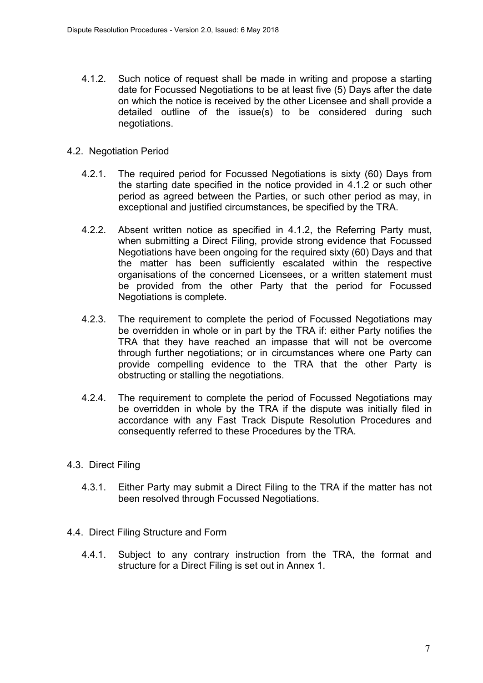- <span id="page-6-0"></span>4.1.2. Such notice of request shall be made in writing and propose a starting date for Focussed Negotiations to be at least five (5) Days after the date on which the notice is received by the other Licensee and shall provide a detailed outline of the issue(s) to be considered during such negotiations.
- <span id="page-6-1"></span>4.2. Negotiation Period
	- 4.2.1. The required period for Focussed Negotiations is sixty (60) Days from the starting date specified in the notice provided in [4.1.2](#page-6-0) or such other period as agreed between the Parties, or such other period as may, in exceptional and justified circumstances, be specified by the TRA.
	- 4.2.2. Absent written notice as specified in [4.1.2,](#page-6-0) the Referring Party must, when submitting a Direct Filing, provide strong evidence that Focussed Negotiations have been ongoing for the required sixty (60) Days and that the matter has been sufficiently escalated within the respective organisations of the concerned Licensees, or a written statement must be provided from the other Party that the period for Focussed Negotiations is complete.
	- 4.2.3. The requirement to complete the period of Focussed Negotiations may be overridden in whole or in part by the TRA if: either Party notifies the TRA that they have reached an impasse that will not be overcome through further negotiations; or in circumstances where one Party can provide compelling evidence to the TRA that the other Party is obstructing or stalling the negotiations.
	- 4.2.4. The requirement to complete the period of Focussed Negotiations may be overridden in whole by the TRA if the dispute was initially filed in accordance with any Fast Track Dispute Resolution Procedures and consequently referred to these Procedures by the TRA.
- 4.3. Direct Filing
	- 4.3.1. Either Party may submit a Direct Filing to the TRA if the matter has not been resolved through Focussed Negotiations.
- 4.4. Direct Filing Structure and Form
	- 4.4.1. Subject to any contrary instruction from the TRA, the format and structure for a Direct Filing is set out in Annex 1.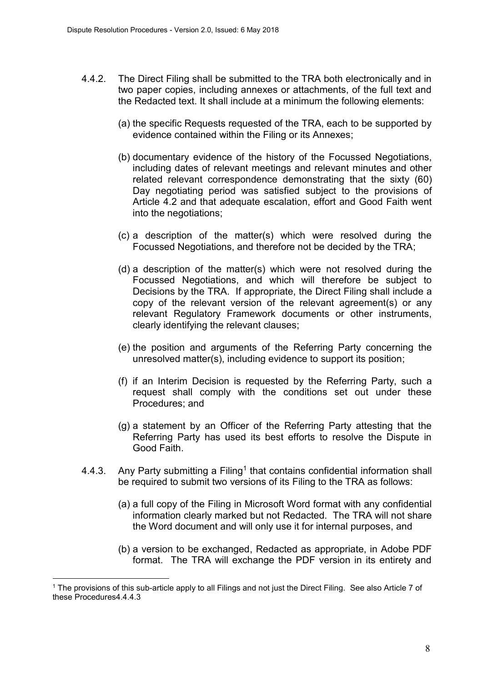- 4.4.2. The Direct Filing shall be submitted to the TRA both electronically and in two paper copies, including annexes or attachments, of the full text and the Redacted text. It shall include at a minimum the following elements:
	- (a) the specific Requests requested of the TRA, each to be supported by evidence contained within the Filing or its Annexes;
	- (b) documentary evidence of the history of the Focussed Negotiations, including dates of relevant meetings and relevant minutes and other related relevant correspondence demonstrating that the sixty (60) Day negotiating period was satisfied subject to the provisions of Article [4.2](#page-6-1) and that adequate escalation, effort and Good Faith went into the negotiations;
	- (c) a description of the matter(s) which were resolved during the Focussed Negotiations, and therefore not be decided by the TRA;
	- (d) a description of the matter(s) which were not resolved during the Focussed Negotiations, and which will therefore be subject to Decisions by the TRA. If appropriate, the Direct Filing shall include a copy of the relevant version of the relevant agreement(s) or any relevant Regulatory Framework documents or other instruments, clearly identifying the relevant clauses;
	- (e) the position and arguments of the Referring Party concerning the unresolved matter(s), including evidence to support its position;
	- (f) if an Interim Decision is requested by the Referring Party, such a request shall comply with the conditions set out under these Procedures; and
	- (g) a statement by an Officer of the Referring Party attesting that the Referring Party has used its best efforts to resolve the Dispute in Good Faith.
- <span id="page-7-0"></span>4.4.3. Any Party submitting a Filing<sup>1</sup> that contains confidential information shall be required to submit two versions of its Filing to the TRA as follows:
	- (a) a full copy of the Filing in Microsoft Word format with any confidential information clearly marked but not Redacted. The TRA will not share the Word document and will only use it for internal purposes, and
	- (b) a version to be exchanged, Redacted as appropriate, in Adobe PDF format. The TRA will exchange the PDF version in its entirety and

l.

<sup>1</sup> The provisions of this sub-article apply to all Filings and not just the Direct Filing. See also Article 7 of these Procedure[s4.4.4.3](#page-7-0)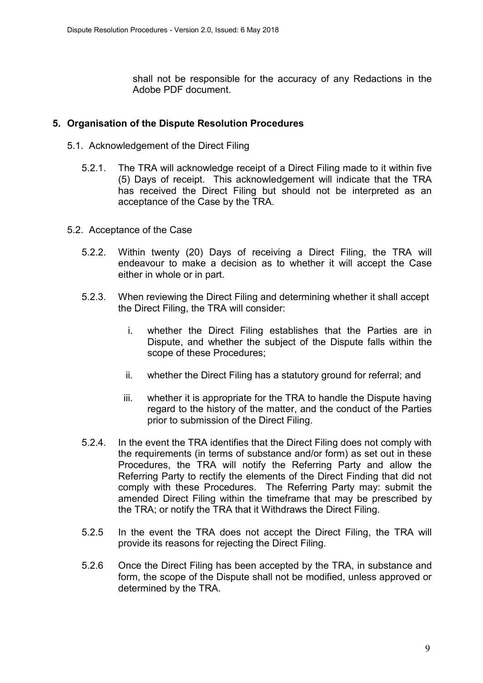shall not be responsible for the accuracy of any Redactions in the Adobe PDF document.

#### <span id="page-8-0"></span>**5. Organisation of the Dispute Resolution Procedures**

- 5.1. Acknowledgement of the Direct Filing
	- 5.2.1. The TRA will acknowledge receipt of a Direct Filing made to it within five (5) Days of receipt. This acknowledgement will indicate that the TRA has received the Direct Filing but should not be interpreted as an acceptance of the Case by the TRA.
- 5.2. Acceptance of the Case
	- 5.2.2. Within twenty (20) Days of receiving a Direct Filing, the TRA will endeavour to make a decision as to whether it will accept the Case either in whole or in part.
	- 5.2.3. When reviewing the Direct Filing and determining whether it shall accept the Direct Filing, the TRA will consider:
		- i. whether the Direct Filing establishes that the Parties are in Dispute, and whether the subject of the Dispute falls within the scope of these Procedures;
		- ii. whether the Direct Filing has a statutory ground for referral; and
		- iii. whether it is appropriate for the TRA to handle the Dispute having regard to the history of the matter, and the conduct of the Parties prior to submission of the Direct Filing.
	- 5.2.4. In the event the TRA identifies that the Direct Filing does not comply with the requirements (in terms of substance and/or form) as set out in these Procedures, the TRA will notify the Referring Party and allow the Referring Party to rectify the elements of the Direct Finding that did not comply with these Procedures. The Referring Party may: submit the amended Direct Filing within the timeframe that may be prescribed by the TRA; or notify the TRA that it Withdraws the Direct Filing.
	- 5.2.5 In the event the TRA does not accept the Direct Filing, the TRA will provide its reasons for rejecting the Direct Filing.
	- 5.2.6 Once the Direct Filing has been accepted by the TRA, in substance and form, the scope of the Dispute shall not be modified, unless approved or determined by the TRA.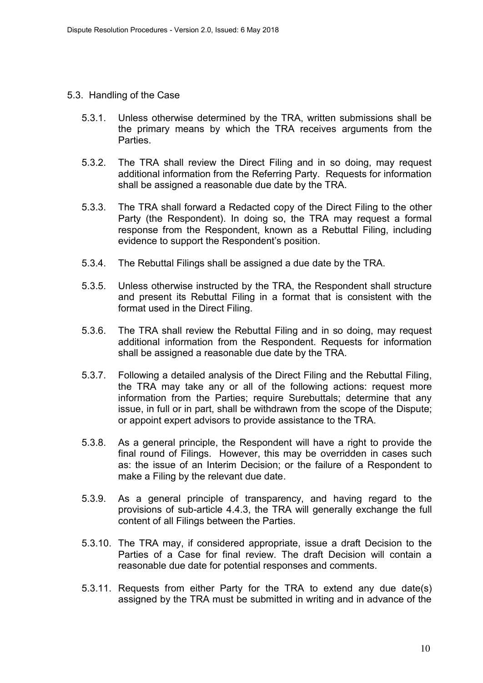- 5.3. Handling of the Case
	- 5.3.1. Unless otherwise determined by the TRA, written submissions shall be the primary means by which the TRA receives arguments from the **Parties**
	- 5.3.2. The TRA shall review the Direct Filing and in so doing, may request additional information from the Referring Party. Requests for information shall be assigned a reasonable due date by the TRA.
	- 5.3.3. The TRA shall forward a Redacted copy of the Direct Filing to the other Party (the Respondent). In doing so, the TRA may request a formal response from the Respondent, known as a Rebuttal Filing, including evidence to support the Respondent's position.
	- 5.3.4. The Rebuttal Filings shall be assigned a due date by the TRA.
	- 5.3.5. Unless otherwise instructed by the TRA, the Respondent shall structure and present its Rebuttal Filing in a format that is consistent with the format used in the Direct Filing.
	- 5.3.6. The TRA shall review the Rebuttal Filing and in so doing, may request additional information from the Respondent. Requests for information shall be assigned a reasonable due date by the TRA.
	- 5.3.7. Following a detailed analysis of the Direct Filing and the Rebuttal Filing, the TRA may take any or all of the following actions: request more information from the Parties; require Surebuttals; determine that any issue, in full or in part, shall be withdrawn from the scope of the Dispute; or appoint expert advisors to provide assistance to the TRA.
	- 5.3.8. As a general principle, the Respondent will have a right to provide the final round of Filings. However, this may be overridden in cases such as: the issue of an Interim Decision; or the failure of a Respondent to make a Filing by the relevant due date.
	- 5.3.9. As a general principle of transparency, and having regard to the provisions of sub-article [4.4.3,](#page-7-0) the TRA will generally exchange the full content of all Filings between the Parties.
	- 5.3.10. The TRA may, if considered appropriate, issue a draft Decision to the Parties of a Case for final review. The draft Decision will contain a reasonable due date for potential responses and comments.
	- 5.3.11. Requests from either Party for the TRA to extend any due date(s) assigned by the TRA must be submitted in writing and in advance of the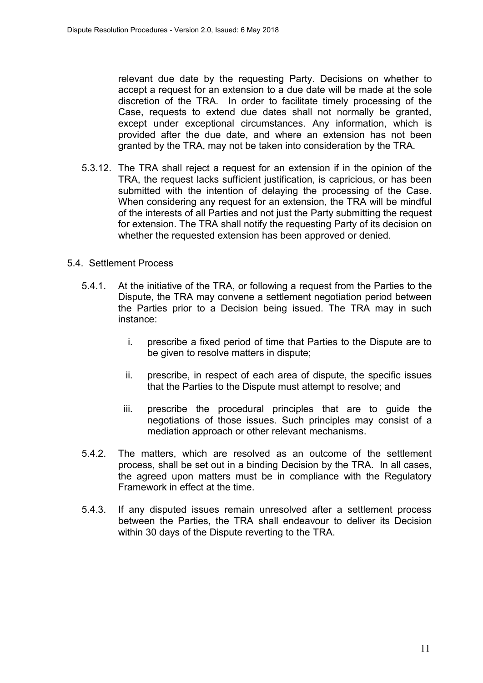relevant due date by the requesting Party. Decisions on whether to accept a request for an extension to a due date will be made at the sole discretion of the TRA. In order to facilitate timely processing of the Case, requests to extend due dates shall not normally be granted, except under exceptional circumstances. Any information, which is provided after the due date, and where an extension has not been granted by the TRA, may not be taken into consideration by the TRA.

- 5.3.12. The TRA shall reject a request for an extension if in the opinion of the TRA, the request lacks sufficient justification, is capricious, or has been submitted with the intention of delaying the processing of the Case. When considering any request for an extension, the TRA will be mindful of the interests of all Parties and not just the Party submitting the request for extension. The TRA shall notify the requesting Party of its decision on whether the requested extension has been approved or denied.
- 5.4. Settlement Process
	- 5.4.1. At the initiative of the TRA, or following a request from the Parties to the Dispute, the TRA may convene a settlement negotiation period between the Parties prior to a Decision being issued. The TRA may in such instance:
		- i. prescribe a fixed period of time that Parties to the Dispute are to be given to resolve matters in dispute;
		- ii. prescribe, in respect of each area of dispute, the specific issues that the Parties to the Dispute must attempt to resolve; and
		- iii. prescribe the procedural principles that are to guide the negotiations of those issues. Such principles may consist of a mediation approach or other relevant mechanisms.
	- 5.4.2. The matters, which are resolved as an outcome of the settlement process, shall be set out in a binding Decision by the TRA. In all cases, the agreed upon matters must be in compliance with the Regulatory Framework in effect at the time.
	- 5.4.3. If any disputed issues remain unresolved after a settlement process between the Parties, the TRA shall endeavour to deliver its Decision within 30 days of the Dispute reverting to the TRA.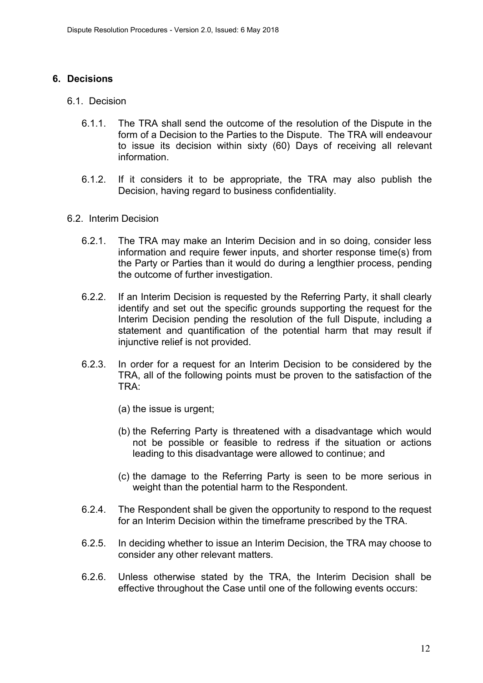#### <span id="page-11-0"></span>**6. Decisions**

- 6.1. Decision
	- 6.1.1. The TRA shall send the outcome of the resolution of the Dispute in the form of a Decision to the Parties to the Dispute. The TRA will endeavour to issue its decision within sixty (60) Days of receiving all relevant information.
	- 6.1.2. If it considers it to be appropriate, the TRA may also publish the Decision, having regard to business confidentiality.
- 6.2. Interim Decision
	- 6.2.1. The TRA may make an Interim Decision and in so doing, consider less information and require fewer inputs, and shorter response time(s) from the Party or Parties than it would do during a lengthier process, pending the outcome of further investigation.
	- 6.2.2. If an Interim Decision is requested by the Referring Party, it shall clearly identify and set out the specific grounds supporting the request for the Interim Decision pending the resolution of the full Dispute, including a statement and quantification of the potential harm that may result if injunctive relief is not provided.
	- 6.2.3. In order for a request for an Interim Decision to be considered by the TRA, all of the following points must be proven to the satisfaction of the TRA:
		- (a) the issue is urgent;
		- (b) the Referring Party is threatened with a disadvantage which would not be possible or feasible to redress if the situation or actions leading to this disadvantage were allowed to continue; and
		- (c) the damage to the Referring Party is seen to be more serious in weight than the potential harm to the Respondent.
	- 6.2.4. The Respondent shall be given the opportunity to respond to the request for an Interim Decision within the timeframe prescribed by the TRA.
	- 6.2.5. In deciding whether to issue an Interim Decision, the TRA may choose to consider any other relevant matters.
	- 6.2.6. Unless otherwise stated by the TRA, the Interim Decision shall be effective throughout the Case until one of the following events occurs: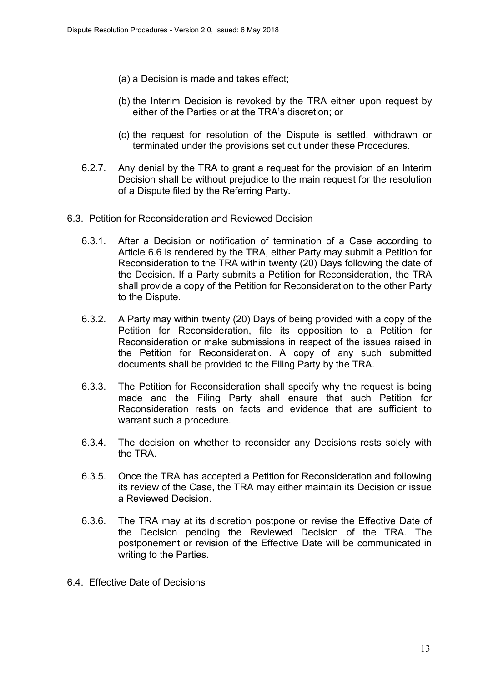- (a) a Decision is made and takes effect;
- (b) the Interim Decision is revoked by the TRA either upon request by either of the Parties or at the TRA's discretion; or
- (c) the request for resolution of the Dispute is settled, withdrawn or terminated under the provisions set out under these Procedures.
- 6.2.7. Any denial by the TRA to grant a request for the provision of an Interim Decision shall be without prejudice to the main request for the resolution of a Dispute filed by the Referring Party.
- 6.3. Petition for Reconsideration and Reviewed Decision
	- 6.3.1. After a Decision or notification of termination of a Case according to Article [6.6](#page-13-0) is rendered by the TRA, either Party may submit a Petition for Reconsideration to the TRA within twenty (20) Days following the date of the Decision. If a Party submits a Petition for Reconsideration, the TRA shall provide a copy of the Petition for Reconsideration to the other Party to the Dispute.
	- 6.3.2. A Party may within twenty (20) Days of being provided with a copy of the Petition for Reconsideration, file its opposition to a Petition for Reconsideration or make submissions in respect of the issues raised in the Petition for Reconsideration. A copy of any such submitted documents shall be provided to the Filing Party by the TRA.
	- 6.3.3. The Petition for Reconsideration shall specify why the request is being made and the Filing Party shall ensure that such Petition for Reconsideration rests on facts and evidence that are sufficient to warrant such a procedure.
	- 6.3.4. The decision on whether to reconsider any Decisions rests solely with the TRA.
	- 6.3.5. Once the TRA has accepted a Petition for Reconsideration and following its review of the Case, the TRA may either maintain its Decision or issue a Reviewed Decision.
	- 6.3.6. The TRA may at its discretion postpone or revise the Effective Date of the Decision pending the Reviewed Decision of the TRA. The postponement or revision of the Effective Date will be communicated in writing to the Parties.
- 6.4. Effective Date of Decisions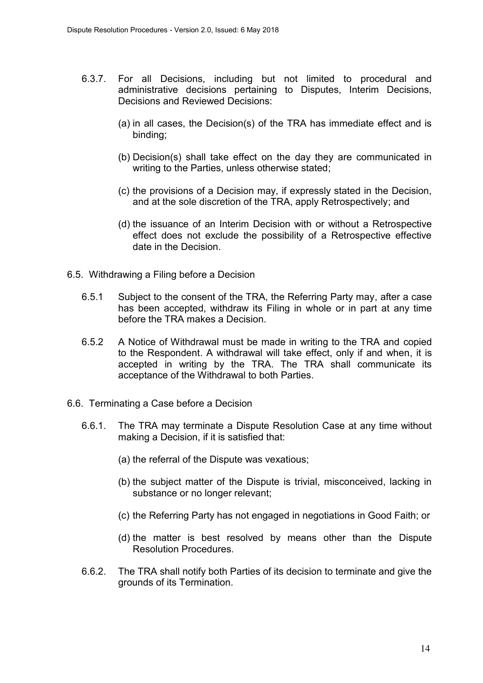- 6.3.7. For all Decisions, including but not limited to procedural and administrative decisions pertaining to Disputes, Interim Decisions, Decisions and Reviewed Decisions:
	- (a) in all cases, the Decision(s) of the TRA has immediate effect and is binding;
	- (b) Decision(s) shall take effect on the day they are communicated in writing to the Parties, unless otherwise stated;
	- (c) the provisions of a Decision may, if expressly stated in the Decision, and at the sole discretion of the TRA, apply Retrospectively; and
	- (d) the issuance of an Interim Decision with or without a Retrospective effect does not exclude the possibility of a Retrospective effective date in the Decision.
- 6.5. Withdrawing a Filing before a Decision
	- 6.5.1 Subject to the consent of the TRA, the Referring Party may, after a case has been accepted, withdraw its Filing in whole or in part at any time before the TRA makes a Decision.
	- 6.5.2 A Notice of Withdrawal must be made in writing to the TRA and copied to the Respondent. A withdrawal will take effect, only if and when, it is accepted in writing by the TRA. The TRA shall communicate its acceptance of the Withdrawal to both Parties.
- <span id="page-13-0"></span>6.6. Terminating a Case before a Decision
	- 6.6.1. The TRA may terminate a Dispute Resolution Case at any time without making a Decision, if it is satisfied that:
		- (a) the referral of the Dispute was vexatious;
		- (b) the subject matter of the Dispute is trivial, misconceived, lacking in substance or no longer relevant;
		- (c) the Referring Party has not engaged in negotiations in Good Faith; or
		- (d) the matter is best resolved by means other than the Dispute Resolution Procedures.
	- 6.6.2. The TRA shall notify both Parties of its decision to terminate and give the grounds of its Termination.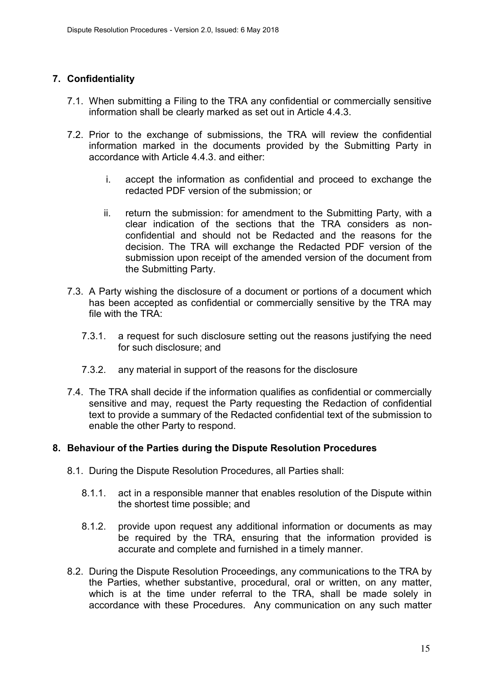## <span id="page-14-0"></span>**7. Confidentiality**

- 7.1. When submitting a Filing to the TRA any confidential or commercially sensitive information shall be clearly marked as set out in Article [4.4.3.](#page-7-0)
- 7.2. Prior to the exchange of submissions, the TRA will review the confidential information marked in the documents provided by the Submitting Party in accordance with Article [4.4.3.](#page-7-0) and either:
	- i. accept the information as confidential and proceed to exchange the redacted PDF version of the submission; or
	- ii. return the submission: for amendment to the Submitting Party, with a clear indication of the sections that the TRA considers as nonconfidential and should not be Redacted and the reasons for the decision. The TRA will exchange the Redacted PDF version of the submission upon receipt of the amended version of the document from the Submitting Party.
- 7.3. A Party wishing the disclosure of a document or portions of a document which has been accepted as confidential or commercially sensitive by the TRA may file with the TRA:
	- 7.3.1. a request for such disclosure setting out the reasons justifying the need for such disclosure; and
	- 7.3.2. any material in support of the reasons for the disclosure
- 7.4. The TRA shall decide if the information qualifies as confidential or commercially sensitive and may, request the Party requesting the Redaction of confidential text to provide a summary of the Redacted confidential text of the submission to enable the other Party to respond.

#### <span id="page-14-1"></span>**8. Behaviour of the Parties during the Dispute Resolution Procedures**

- 8.1. During the Dispute Resolution Procedures, all Parties shall:
	- 8.1.1. act in a responsible manner that enables resolution of the Dispute within the shortest time possible; and
	- 8.1.2. provide upon request any additional information or documents as may be required by the TRA, ensuring that the information provided is accurate and complete and furnished in a timely manner.
- 8.2. During the Dispute Resolution Proceedings, any communications to the TRA by the Parties, whether substantive, procedural, oral or written, on any matter, which is at the time under referral to the TRA, shall be made solely in accordance with these Procedures. Any communication on any such matter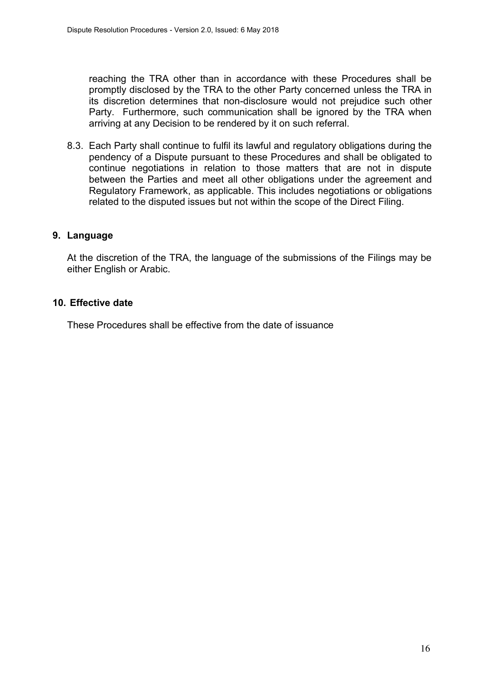reaching the TRA other than in accordance with these Procedures shall be promptly disclosed by the TRA to the other Party concerned unless the TRA in its discretion determines that non-disclosure would not prejudice such other Party. Furthermore, such communication shall be ignored by the TRA when arriving at any Decision to be rendered by it on such referral.

8.3. Each Party shall continue to fulfil its lawful and regulatory obligations during the pendency of a Dispute pursuant to these Procedures and shall be obligated to continue negotiations in relation to those matters that are not in dispute between the Parties and meet all other obligations under the agreement and Regulatory Framework, as applicable. This includes negotiations or obligations related to the disputed issues but not within the scope of the Direct Filing.

#### <span id="page-15-0"></span>**9. Language**

At the discretion of the TRA, the language of the submissions of the Filings may be either English or Arabic.

#### <span id="page-15-1"></span>**10. Effective date**

These Procedures shall be effective from the date of issuance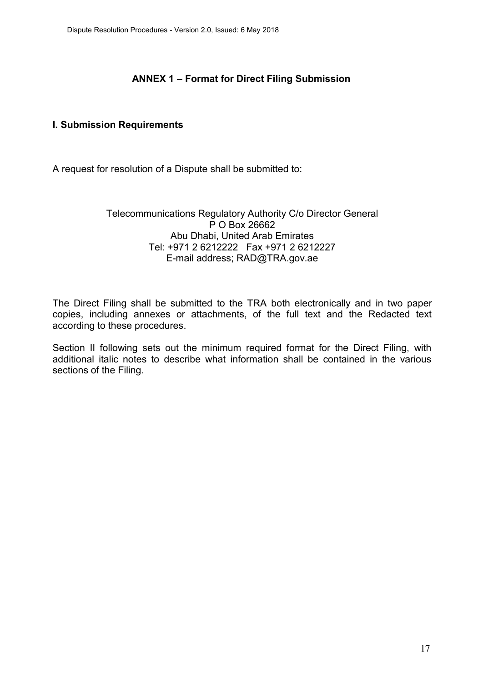## **ANNEX 1 – Format for Direct Filing Submission**

#### <span id="page-16-1"></span><span id="page-16-0"></span>**I. Submission Requirements**

A request for resolution of a Dispute shall be submitted to:

#### Telecommunications Regulatory Authority C/o Director General P O Box 26662 Abu Dhabi, United Arab Emirates Tel: +971 2 6212222 Fax +971 2 6212227 E-mail address; RAD@TRA.gov.ae

The Direct Filing shall be submitted to the TRA both electronically and in two paper copies, including annexes or attachments, of the full text and the Redacted text according to these procedures.

Section II following sets out the minimum required format for the Direct Filing, with additional italic notes to describe what information shall be contained in the various sections of the Filing.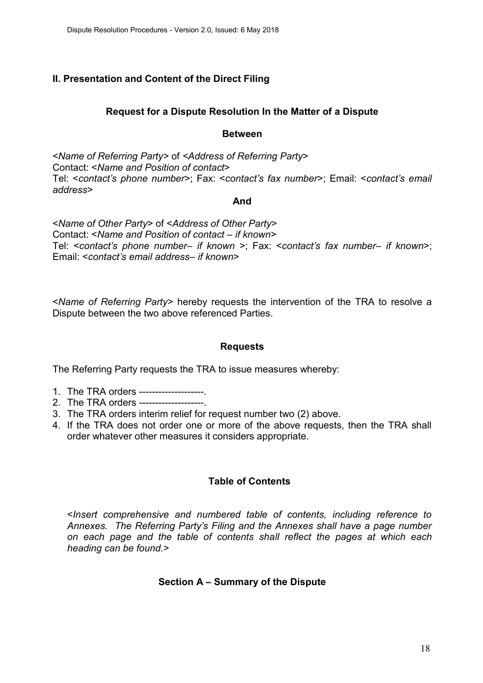## <span id="page-17-0"></span>**II. Presentation and Content of the Direct Filing**

#### **Request for a Dispute Resolution In the Matter of a Dispute**

#### **Between**

<*Name of Referring Party>* of *<Address of Referring Party*> Contact: <*Name and Position of contact*> Tel: <*contact's phone number*>; Fax: <*contact's fax number*>; Email: <*contact's email address*>

#### **And**

<*Name of Other Party*> of <*Address of Other Party*> Contact: <*Name and Position of contact – if known*> Tel: <*contact's phone number– if known* >; Fax: <*contact's fax number– if known*>; Email: <*contact's email address– if known*>

<*Name of Referring Party*> hereby requests the intervention of the TRA to resolve a Dispute between the two above referenced Parties.

#### **Requests**

The Referring Party requests the TRA to issue measures whereby:

- 1. The TRA orders --------------------.
- 2. The TRA orders --------------------.
- 3. The TRA orders interim relief for request number two (2) above.
- 4. If the TRA does not order one or more of the above requests, then the TRA shall order whatever other measures it considers appropriate.

#### **Table of Contents**

<*Insert comprehensive and numbered table of contents, including reference to Annexes. The Referring Party's Filing and the Annexes shall have a page number on each page and the table of contents shall reflect the pages at which each heading can be found.*>

#### **Section A – Summary of the Dispute**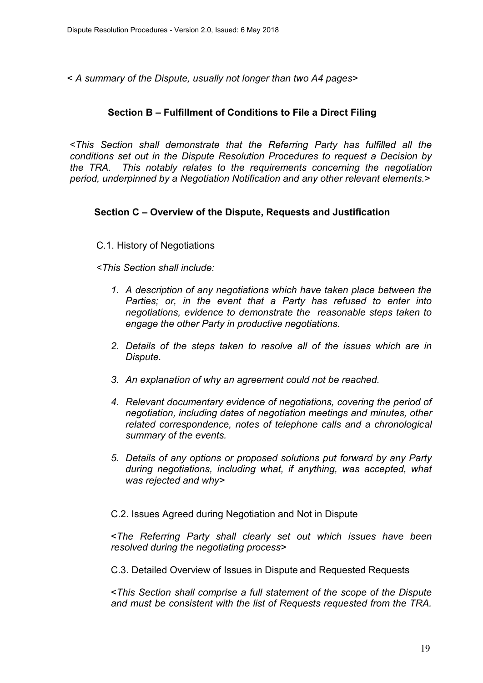< *A summary of the Dispute, usually not longer than two A4 pages*>

#### **Section B – Fulfillment of Conditions to File a Direct Filing**

<*This Section shall demonstrate that the Referring Party has fulfilled all the conditions set out in the Dispute Resolution Procedures to request a Decision by the TRA. This notably relates to the requirements concerning the negotiation period, underpinned by a Negotiation Notification and any other relevant elements.*>

#### **Section C – Overview of the Dispute, Requests and Justification**

#### C.1. History of Negotiations

<*This Section shall include:* 

- *1. A description of any negotiations which have taken place between the Parties; or, in the event that a Party has refused to enter into negotiations, evidence to demonstrate the reasonable steps taken to engage the other Party in productive negotiations.*
- *2. Details of the steps taken to resolve all of the issues which are in Dispute.*
- *3. An explanation of why an agreement could not be reached.*
- *4. Relevant documentary evidence of negotiations, covering the period of negotiation, including dates of negotiation meetings and minutes, other related correspondence, notes of telephone calls and a chronological summary of the events.*
- *5. Details of any options or proposed solutions put forward by any Party during negotiations, including what, if anything, was accepted, what was rejected and why>*

C.2. Issues Agreed during Negotiation and Not in Dispute

<*The Referring Party shall clearly set out which issues have been resolved during the negotiating process*>

C.3. Detailed Overview of Issues in Dispute and Requested Requests

<*This Section shall comprise a full statement of the scope of the Dispute and must be consistent with the list of Requests requested from the TRA.*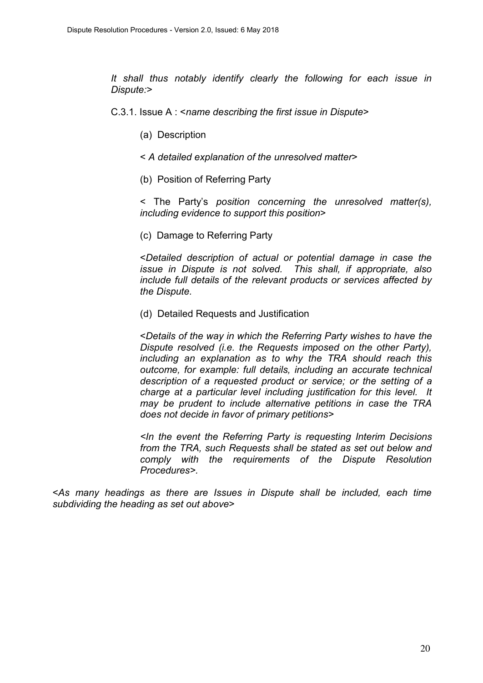*It shall thus notably identify clearly the following for each issue in Dispute:*>

C.3.1. Issue A : <*name describing the first issue in Dispute*>

- (a) Description
- < *A detailed explanation of the unresolved matter*>
- (b) Position of Referring Party

< The Party's *position concerning the unresolved matter(s), including evidence to support this position*>

(c) Damage to Referring Party

<*Detailed description of actual or potential damage in case the issue in Dispute is not solved. This shall, if appropriate, also include full details of the relevant products or services affected by the Dispute.* 

(d) Detailed Requests and Justification

<*Details of the way in which the Referring Party wishes to have the Dispute resolved (i.e. the Requests imposed on the other Party), including an explanation as to why the TRA should reach this outcome, for example: full details, including an accurate technical description of a requested product or service; or the setting of a charge at a particular level including justification for this level. It may be prudent to include alternative petitions in case the TRA does not decide in favor of primary petitions*>

*<In the event the Referring Party is requesting Interim Decisions from the TRA, such Requests shall be stated as set out below and comply with the requirements of the Dispute Resolution Procedures>.* 

<*As many headings as there are Issues in Dispute shall be included, each time subdividing the heading as set out above*>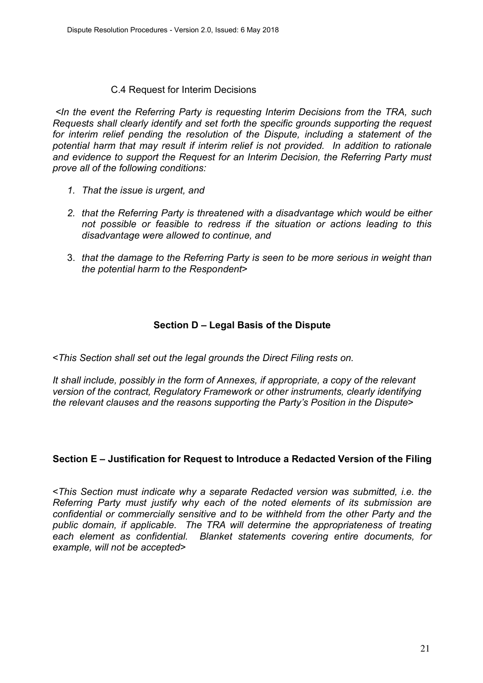## C.4 Request for Interim Decisions

 *<In the event the Referring Party is requesting Interim Decisions from the TRA, such Requests shall clearly identify and set forth the specific grounds supporting the request for interim relief pending the resolution of the Dispute, including a statement of the potential harm that may result if interim relief is not provided. In addition to rationale and evidence to support the Request for an Interim Decision, the Referring Party must prove all of the following conditions:* 

- *1. That the issue is urgent, and*
- *2. that the Referring Party is threatened with a disadvantage which would be either not possible or feasible to redress if the situation or actions leading to this disadvantage were allowed to continue, and*
- 3. *that the damage to the Referring Party is seen to be more serious in weight than the potential harm to the Respondent*>

## **Section D – Legal Basis of the Dispute**

<*This Section shall set out the legal grounds the Direct Filing rests on.* 

*It shall include, possibly in the form of Annexes, if appropriate, a copy of the relevant version of the contract, Regulatory Framework or other instruments, clearly identifying the relevant clauses and the reasons supporting the Party's Position in the Dispute*>

## **Section E – Justification for Request to Introduce a Redacted Version of the Filing**

<*This Section must indicate why a separate Redacted version was submitted, i.e. the Referring Party must justify why each of the noted elements of its submission are confidential or commercially sensitive and to be withheld from the other Party and the public domain, if applicable. The TRA will determine the appropriateness of treating each element as confidential. Blanket statements covering entire documents, for example, will not be accepted*>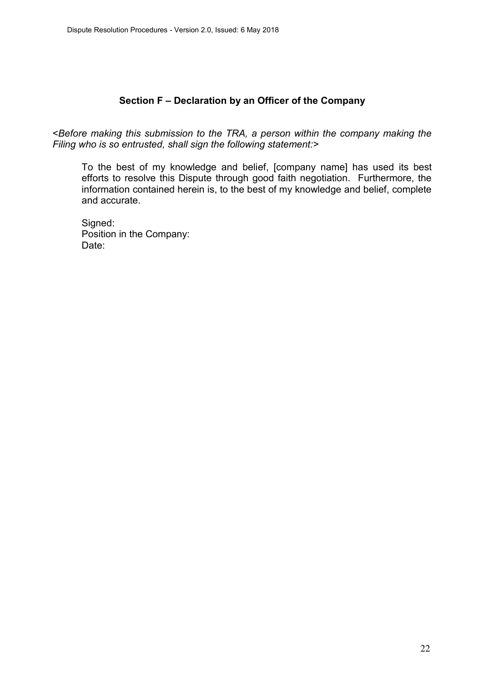#### **Section F – Declaration by an Officer of the Company**

<*Before making this submission to the TRA, a person within the company making the Filing who is so entrusted, shall sign the following statement:>*

To the best of my knowledge and belief, [company name] has used its best efforts to resolve this Dispute through good faith negotiation. Furthermore, the information contained herein is, to the best of my knowledge and belief, complete and accurate.

Signed: Position in the Company: Date: